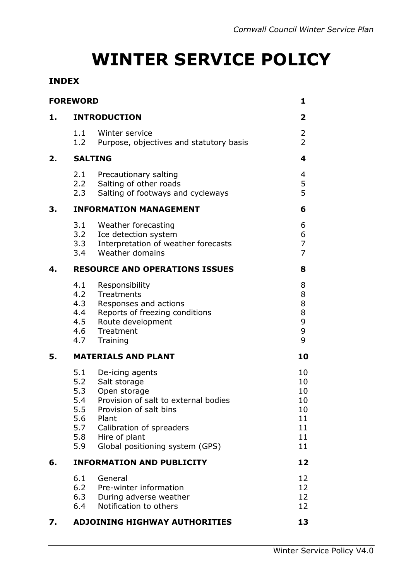# **WINTER SERVICE POLICY**

#### **INDEX**

|    | <b>FOREWORD</b>                                             |                                                                                                                                                                                                            | 1                                                  |  |  |
|----|-------------------------------------------------------------|------------------------------------------------------------------------------------------------------------------------------------------------------------------------------------------------------------|----------------------------------------------------|--|--|
| 1. | <b>INTRODUCTION</b>                                         |                                                                                                                                                                                                            |                                                    |  |  |
|    | 1.1<br>1.2                                                  | Winter service<br>Purpose, objectives and statutory basis                                                                                                                                                  | $\overline{2}$<br>$\overline{2}$                   |  |  |
| 2. | <b>SALTING</b>                                              |                                                                                                                                                                                                            |                                                    |  |  |
|    | 2.1<br>2.2<br>2.3                                           | Precautionary salting<br>Salting of other roads<br>Salting of footways and cycleways                                                                                                                       | 4<br>5<br>5                                        |  |  |
| З. | <b>INFORMATION MANAGEMENT</b>                               |                                                                                                                                                                                                            |                                                    |  |  |
|    | 3.1                                                         | Weather forecasting<br>3.2 Ice detection system<br>3.3 Interpretation of weather forecasts<br>3.4 Weather domains                                                                                          | 6<br>6<br>$\overline{7}$<br>$\overline{7}$         |  |  |
| 4. | <b>RESOURCE AND OPERATIONS ISSUES</b>                       |                                                                                                                                                                                                            |                                                    |  |  |
|    | 4.1<br>4.2<br>4.3<br>4.4<br>4.5<br>4.6<br>4.7               | Responsibility<br>Treatments<br>Responses and actions<br>Reports of freezing conditions<br>Route development<br>Treatment<br>Training                                                                      | 8<br>8<br>8<br>8<br>9<br>9<br>9                    |  |  |
| 5. | <b>MATERIALS AND PLANT</b>                                  | 10                                                                                                                                                                                                         |                                                    |  |  |
|    | 5.1<br>5.2<br>5.3<br>5.4<br>5.5<br>5.6<br>5.7<br>5.8<br>5.9 | De-icing agents<br>Salt storage<br>Open storage<br>Provision of salt to external bodies<br>Provision of salt bins<br>Plant<br>Calibration of spreaders<br>Hire of plant<br>Global positioning system (GPS) | 10<br>10<br>10<br>10<br>10<br>11<br>11<br>11<br>11 |  |  |
| 6. | <b>INFORMATION AND PUBLICITY</b>                            |                                                                                                                                                                                                            |                                                    |  |  |
|    | 6.1<br>6.4                                                  | General<br>6.2 Pre-winter information<br>6.3 During adverse weather<br>Notification to others                                                                                                              | 12<br>12<br>12<br>12                               |  |  |
| 7. |                                                             | <b>ADJOINING HIGHWAY AUTHORITIES</b>                                                                                                                                                                       | 13                                                 |  |  |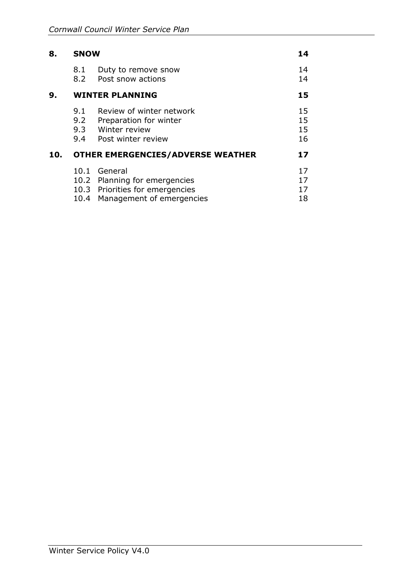| 8.  | <b>SNOW</b>                              |                                                                                                               |                      |  |
|-----|------------------------------------------|---------------------------------------------------------------------------------------------------------------|----------------------|--|
|     | 8.1<br>8.2                               | Duty to remove snow<br>Post snow actions                                                                      | 14<br>14             |  |
| 9.  | <b>WINTER PLANNING</b>                   |                                                                                                               |                      |  |
|     | 9.1<br>9.2                               | Review of winter network<br>Preparation for winter<br>9.3 Winter review<br>9.4 Post winter review             | 15<br>15<br>15<br>16 |  |
| 10. | <b>OTHER EMERGENCIES/ADVERSE WEATHER</b> |                                                                                                               |                      |  |
|     | 10.4                                     | 10.1 General<br>10.2 Planning for emergencies<br>10.3 Priorities for emergencies<br>Management of emergencies | 17<br>17<br>17<br>18 |  |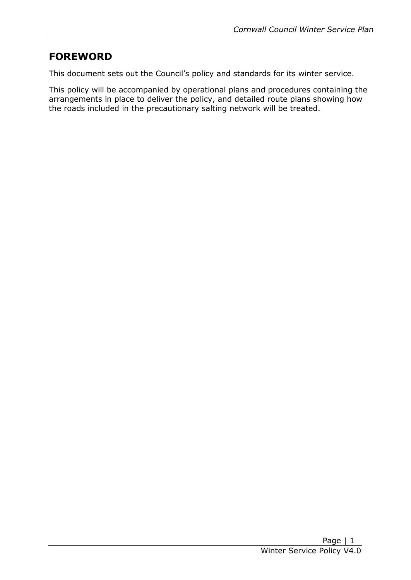# **FOREWORD**

This document sets out the Council's policy and standards for its winter service.

 This policy will be accompanied by operational plans and procedures containing the arrangements in place to deliver the policy, and detailed route plans showing how the roads included in the precautionary salting network will be treated.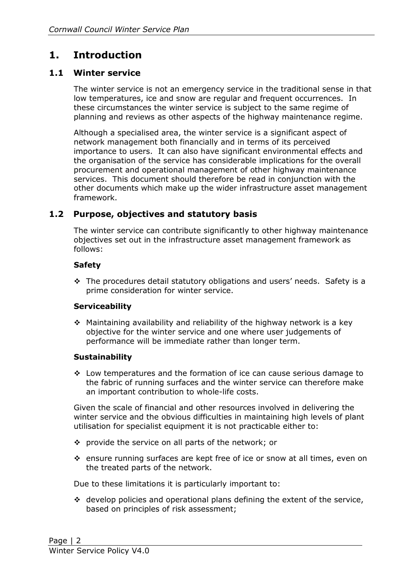# **1. Introduction**

#### **1.1 Winter service**

 low temperatures, ice and snow are regular and frequent occurrences. In planning and reviews as other aspects of the highway maintenance regime. The winter service is not an emergency service in the traditional sense in that these circumstances the winter service is subject to the same regime of

 network management both financially and in terms of its perceived importance to users. It can also have significant environmental effects and procurement and operational management of other highway maintenance services. This document should therefore be read in conjunction with the Although a specialised area, the winter service is a significant aspect of the organisation of the service has considerable implications for the overall other documents which make up the wider infrastructure asset management framework.

#### **1.2 Purpose, objectives and statutory basis**

The winter service can contribute significantly to other highway maintenance objectives set out in the infrastructure asset management framework as follows:

#### **Safety**

 The procedures detail statutory obligations and users' needs. Safety is a prime consideration for winter service.

#### **Serviceability**

 $\cdot$  Maintaining availability and reliability of the highway network is a key objective for the winter service and one where user judgements of performance will be immediate rather than longer term.

#### **Sustainability**

 the fabric of running surfaces and the winter service can therefore make  $\div$  Low temperatures and the formation of ice can cause serious damage to an important contribution to whole-life costs.

 Given the scale of financial and other resources involved in delivering the utilisation for specialist equipment it is not practicable either to: winter service and the obvious difficulties in maintaining high levels of plant

- $\cdot$  provide the service on all parts of the network; or
- ensure running surfaces are kept free of ice or snow at all times, even on the treated parts of the network.

Due to these limitations it is particularly important to:

 based on principles of risk assessment;  $\cdot$  develop policies and operational plans defining the extent of the service,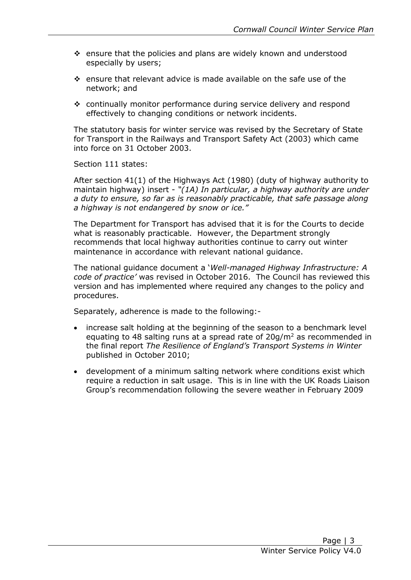- especially by users; ensure that the policies and plans are widely known and understood
- ensure that relevant advice is made available on the safe use of the network; and
- continually monitor performance during service delivery and respond effectively to changing conditions or network incidents.

 The statutory basis for winter service was revised by the Secretary of State for Transport in the Railways and Transport Safety Act (2003) which came into force on 31 October 2003.

Section 111 states:

 After section 41(1) of the Highways Act (1980) (duty of highway authority to  maintain highway) insert - *"(1A) In particular, a highway authority are under a duty to ensure, so far as is reasonably practicable, that safe passage along a highway is not endangered by snow or ice."*

 what is reasonably practicable. However, the Department strongly recommends that local highway authorities continue to carry out winter maintenance in accordance with relevant national guidance. The Department for Transport has advised that it is for the Courts to decide

 The national guidance document a '*Well-managed Highway Infrastructure: A code of practice'* was revised in October 2016. The Council has reviewed this version and has implemented where required any changes to the policy and procedures.

Separately, adherence is made to the following:-

- increase salt holding at the beginning of the season to a benchmark level equating to 48 salting runs at a spread rate of  $20g/m^2$  as recommended in  the final report *The Resilience of England's Transport Systems in Winter* published in October 2010;
- development of a minimum salting network where conditions exist which require a reduction in salt usage. This is in line with the UK Roads Liaison Group's recommendation following the severe weather in February 2009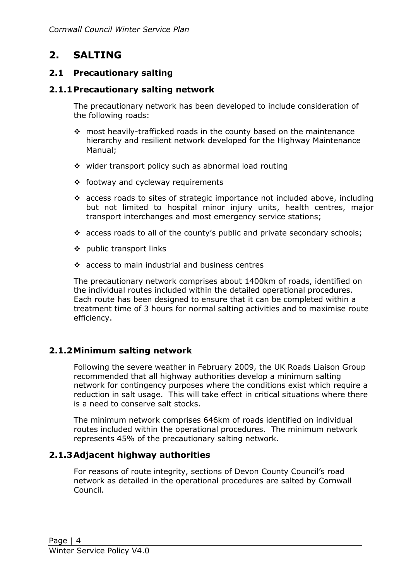# **2. SALTING**

#### **2.1 Precautionary salting**

#### **2.1.1Precautionary salting network**

 The precautionary network has been developed to include consideration of the following roads:

- most heavily-trafficked roads in the county based on the maintenance hierarchy and resilient network developed for the Highway Maintenance Manual;
- $\cdot$  wider transport policy such as abnormal load routing
- ❖ footway and cycleway requirements
- but not limited to hospital minor injury units, health centres, major access roads to sites of strategic importance not included above, including transport interchanges and most emergency service stations;
- \* access roads to all of the county's public and private secondary schools;
- ❖ public transport links
- $\div$  access to main industrial and business centres

the individual routes included within the detailed operational procedures. treatment time of 3 hours for normal salting activities and to maximise route efficiency. The precautionary network comprises about 1400km of roads, identified on Each route has been designed to ensure that it can be completed within a

#### **2.1.2Minimum salting network**

 Following the severe weather in February 2009, the UK Roads Liaison Group recommended that all highway authorities develop a minimum salting network for contingency purposes where the conditions exist which require a reduction in salt usage. This will take effect in critical situations where there is a need to conserve salt stocks.

 The minimum network comprises 646km of roads identified on individual represents 45% of the precautionary salting network. routes included within the operational procedures. The minimum network

#### **2.1.3Adjacent highway authorities**

 For reasons of route integrity, sections of Devon County Council's road network as detailed in the operational procedures are salted by Cornwall Council.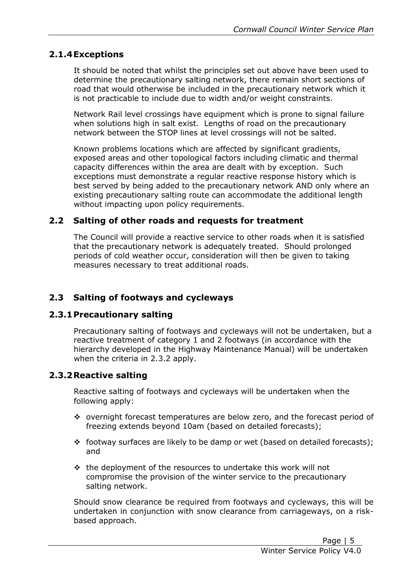#### **2.1.4Exceptions**

 determine the precautionary salting network, there remain short sections of road that would otherwise be included in the precautionary network which it is not practicable to include due to width and/or weight constraints. It should be noted that whilst the principles set out above have been used to

 Network Rail level crossings have equipment which is prone to signal failure when solutions high in salt exist. Lengths of road on the precautionary network between the STOP lines at level crossings will not be salted.

 exposed areas and other topological factors including climatic and thermal capacity differences within the area are dealt with by exception. Such exceptions must demonstrate a regular reactive response history which is best served by being added to the precautionary network AND only where an existing precautionary salting route can accommodate the additional length without impacting upon policy requirements. Known problems locations which are affected by significant gradients,

#### **2.2 Salting of other roads and requests for treatment**

 that the precautionary network is adequately treated. Should prolonged measures necessary to treat additional roads. The Council will provide a reactive service to other roads when it is satisfied periods of cold weather occur, consideration will then be given to taking

#### **2.3 Salting of footways and cycleways**

#### **2.3.1Precautionary salting**

 Precautionary salting of footways and cycleways will not be undertaken, but a reactive treatment of category 1 and 2 footways (in accordance with the hierarchy developed in the Highway Maintenance Manual) will be undertaken when the criteria in 2.3.2 apply.

#### **2.3.2Reactive salting**

Reactive salting of footways and cycleways will be undertaken when the following apply:

- \* overnight forecast temperatures are below zero, and the forecast period of freezing extends beyond 10am (based on detailed forecasts);
- \* footway surfaces are likely to be damp or wet (based on detailed forecasts); and
- $\cdot\cdot\cdot$  the deployment of the resources to undertake this work will not compromise the provision of the winter service to the precautionary salting network.

 undertaken in conjunction with snow clearance from carriageways, on a risk-Should snow clearance be required from footways and cycleways, this will be based approach.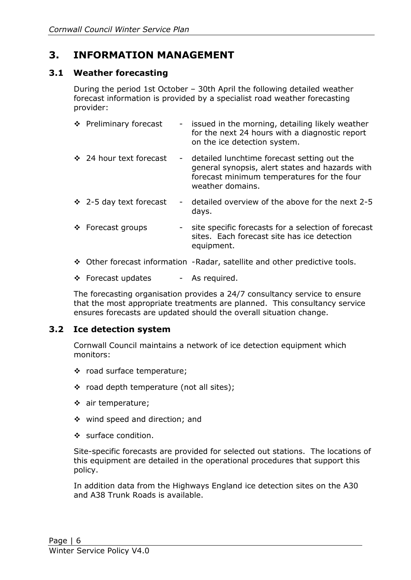# **3. INFORMATION MANAGEMENT**

#### **3.1 Weather forecasting**

During the period 1st October – 30th April the following detailed weather forecast information is provided by a specialist road weather forecasting provider:

| ❖ Preliminary forecast       |   | - issued in the morning, detailing likely weather<br>for the next 24 hours with a diagnostic report<br>on the ice detection system.                                |
|------------------------------|---|--------------------------------------------------------------------------------------------------------------------------------------------------------------------|
| ❖ 24 hour text forecast      |   | - detailed lunchtime forecast setting out the<br>general synopsis, alert states and hazards with<br>forecast minimum temperatures for the four<br>weather domains. |
| $\div$ 2-5 day text forecast |   | detailed overview of the above for the next 2-5<br>days.                                                                                                           |
| ❖ Forecast groups            | ۰ | site specific forecasts for a selection of forecast<br>sites. Each forecast site has ice detection<br>equipment.                                                   |
|                              |   | ❖ Other forecast information - Radar, satellite and other predictive tools.                                                                                        |

\* Forecast updates - As required.

 ensures forecasts are updated should the overall situation change. The forecasting organisation provides a 24/7 consultancy service to ensure that the most appropriate treatments are planned. This consultancy service

#### **3.2 Ice detection system**

Cornwall Council maintains a network of ice detection equipment which monitors:

- \* road surface temperature;
- $\div$  road depth temperature (not all sites);
- air temperature;
- wind speed and direction; and
- $\cdot$  surface condition.

Site-specific forecasts are provided for selected out stations. The locations of this equipment are detailed in the operational procedures that support this policy.

 In addition data from the Highways England ice detection sites on the A30 and A38 Trunk Roads is available.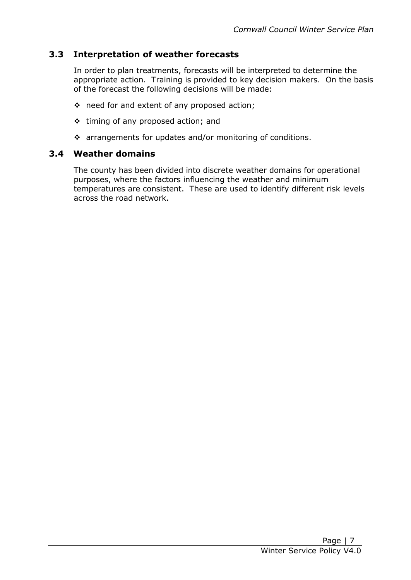#### **3.3 Interpretation of weather forecasts**

 appropriate action. Training is provided to key decision makers. On the basis In order to plan treatments, forecasts will be interpreted to determine the of the forecast the following decisions will be made:

- ❖ need for and extent of any proposed action;
- $\div$  timing of any proposed action; and
- arrangements for updates and/or monitoring of conditions.

#### **3.4 Weather domains**

 purposes, where the factors influencing the weather and minimum temperatures are consistent. These are used to identify different risk levels The county has been divided into discrete weather domains for operational across the road network.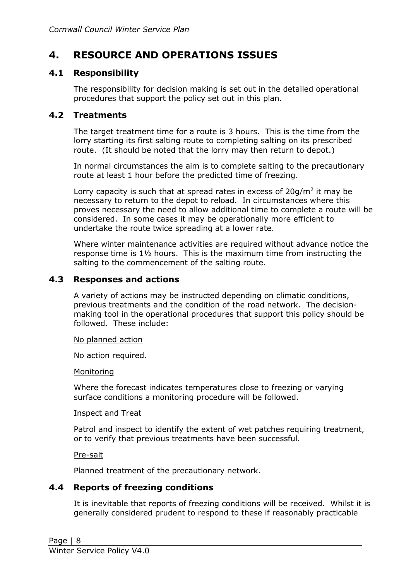# **4. RESOURCE AND OPERATIONS ISSUES**

#### **4.1 Responsibility**

 The responsibility for decision making is set out in the detailed operational procedures that support the policy set out in this plan.

#### **4.2 Treatments**

 The target treatment time for a route is 3 hours. This is the time from the lorry starting its first salting route to completing salting on its prescribed route. (It should be noted that the lorry may then return to depot.)

 In normal circumstances the aim is to complete salting to the precautionary route at least 1 hour before the predicted time of freezing.

Lorry capacity is such that at spread rates in excess of  $20g/m^2$  it may be necessary to return to the depot to reload. In circumstances where this proves necessary the need to allow additional time to complete a route will be considered. In some cases it may be operationally more efficient to undertake the route twice spreading at a lower rate.

 response time is 1½ hours. This is the maximum time from instructing the Where winter maintenance activities are required without advance notice the salting to the commencement of the salting route.

#### **4.3 Responses and actions**

 making tool in the operational procedures that support this policy should be A variety of actions may be instructed depending on climatic conditions, previous treatments and the condition of the road network. The decisionfollowed. These include:

#### No planned action

No action required.

#### **Monitoring**

 surface conditions a monitoring procedure will be followed. Where the forecast indicates temperatures close to freezing or varying

#### Inspect and Treat

or to verify that previous treatments have been successful.<br>Pre-salt Patrol and inspect to identify the extent of wet patches requiring treatment,

Planned treatment of the precautionary network.

#### **4.4 Reports of freezing conditions**

 It is inevitable that reports of freezing conditions will be received. Whilst it is generally considered prudent to respond to these if reasonably practicable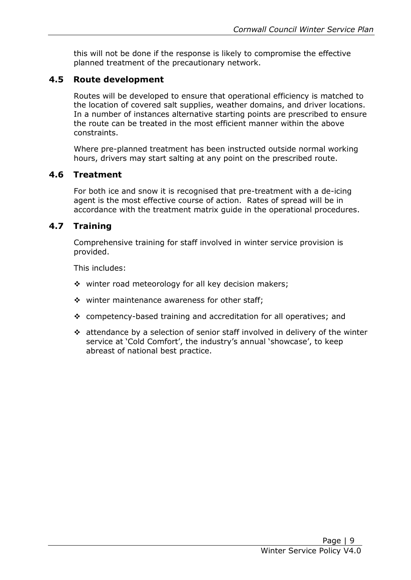this will not be done if the response is likely to compromise the effective planned treatment of the precautionary network.

### **4.5 Route development**

 Routes will be developed to ensure that operational efficiency is matched to the location of covered salt supplies, weather domains, and driver locations. In a number of instances alternative starting points are prescribed to ensure the route can be treated in the most efficient manner within the above constraints.

 Where pre-planned treatment has been instructed outside normal working hours, drivers may start salting at any point on the prescribed route.

#### **4.6 Treatment**

 For both ice and snow it is recognised that pre-treatment with a de-icing agent is the most effective course of action. Rates of spread will be in accordance with the treatment matrix guide in the operational procedures.

#### **4.7 Training**

 Comprehensive training for staff involved in winter service provision is provided.

This includes:

- $\div$  winter road meteorology for all key decision makers;
- $\div$  winter maintenance awareness for other staff;
- competency-based training and accreditation for all operatives; and
- attendance by a selection of senior staff involved in delivery of the winter service at 'Cold Comfort', the industry's annual 'showcase', to keep abreast of national best practice.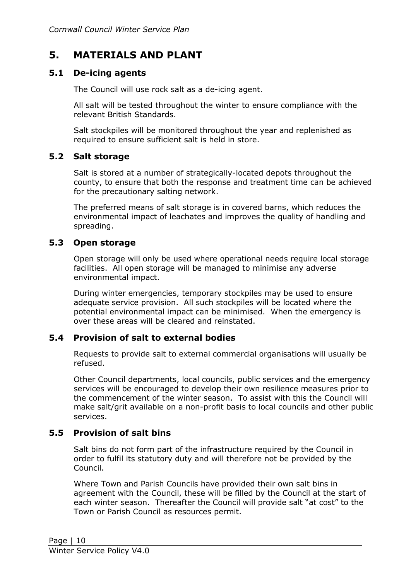# **5. MATERIALS AND PLANT**

#### **5.1 De-icing agents**

The Council will use rock salt as a de-icing agent.

 All salt will be tested throughout the winter to ensure compliance with the relevant British Standards.

 Salt stockpiles will be monitored throughout the year and replenished as required to ensure sufficient salt is held in store.

#### **5.2 Salt storage**

 county, to ensure that both the response and treatment time can be achieved for the precautionary salting network. Salt is stored at a number of strategically-located depots throughout the

 environmental impact of leachates and improves the quality of handling and The preferred means of salt storage is in covered barns, which reduces the spreading.

#### **5.3 Open storage**

 facilities. All open storage will be managed to minimise any adverse Open storage will only be used where operational needs require local storage environmental impact.

 During winter emergencies, temporary stockpiles may be used to ensure adequate service provision. All such stockpiles will be located where the potential environmental impact can be minimised. When the emergency is over these areas will be cleared and reinstated.

#### **5.4 Provision of salt to external bodies**

Requests to provide salt to external commercial organisations will usually be refused.

 Other Council departments, local councils, public services and the emergency services will be encouraged to develop their own resilience measures prior to the commencement of the winter season. To assist with this the Council will make salt/grit available on a non-profit basis to local councils and other public services.

#### **5.5 Provision of salt bins**

 order to fulfil its statutory duty and will therefore not be provided by the Council. Salt bins do not form part of the infrastructure required by the Council in

Council.<br>Where Town and Parish Councils have provided their own salt bins in agreement with the Council, these will be filled by the Council at the start of each winter season. Thereafter the Council will provide salt "at cost" to the Town or Parish Council as resources permit.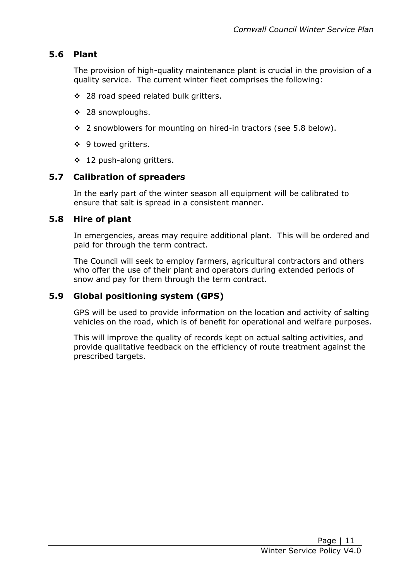#### **5.6 Plant**

 The provision of high-quality maintenance plant is crucial in the provision of a quality service. The current winter fleet comprises the following:

- $\div$  28 road speed related bulk gritters.
- 28 snowploughs.
- 2 snowblowers for mounting on hired-in tractors (see 5.8 below).
- ❖ 9 towed gritters.
- ❖ 12 push-along gritters.

#### **5.7 Calibration of spreaders**

 ensure that salt is spread in a consistent manner. In the early part of the winter season all equipment will be calibrated to

#### **5.8 Hire of plant**

 In emergencies, areas may require additional plant. This will be ordered and paid for through the term contract.

 The Council will seek to employ farmers, agricultural contractors and others who offer the use of their plant and operators during extended periods of snow and pay for them through the term contract.

#### **5.9 Global positioning system (GPS)**

 GPS will be used to provide information on the location and activity of salting vehicles on the road, which is of benefit for operational and welfare purposes.

This will improve the quality of records kept on actual salting activities, and provide qualitative feedback on the efficiency of route treatment against the prescribed targets.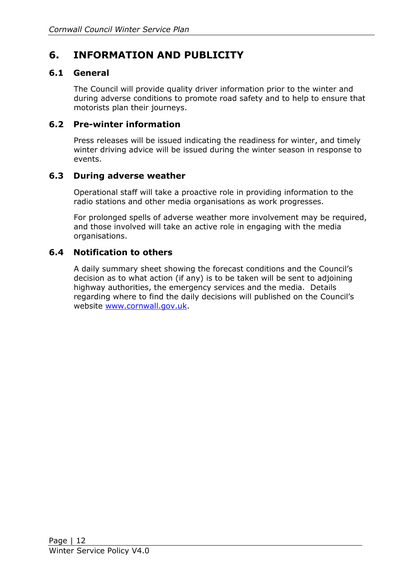# **6. INFORMATION AND PUBLICITY**

#### **6.1 General**

 The Council will provide quality driver information prior to the winter and during adverse conditions to promote road safety and to help to ensure that motorists plan their journeys.

#### **6.2 Pre-winter information**

 Press releases will be issued indicating the readiness for winter, and timely winter driving advice will be issued during the winter season in response to events.

#### **6.3 During adverse weather**

 Operational staff will take a proactive role in providing information to the radio stations and other media organisations as work progresses.

 For prolonged spells of adverse weather more involvement may be required, and those involved will take an active role in engaging with the media organisations.

#### **6.4 Notification to others**

 A daily summary sheet showing the forecast conditions and the Council's decision as to what action (if any) is to be taken will be sent to adjoining highway authorities, the emergency services and the media. Details regarding where to find the daily decisions will published on the Council's website [www.cornwall.gov.uk.](http://www.cornwall.gov.uk/)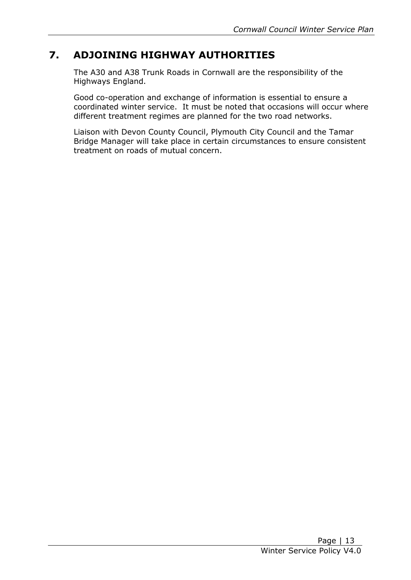# **7. ADJOINING HIGHWAY AUTHORITIES**

 The A30 and A38 Trunk Roads in Cornwall are the responsibility of the Highways England.

 coordinated winter service. It must be noted that occasions will occur where different treatment regimes are planned for the two road networks. Good co-operation and exchange of information is essential to ensure a

 Liaison with Devon County Council, Plymouth City Council and the Tamar Bridge Manager will take place in certain circumstances to ensure consistent treatment on roads of mutual concern.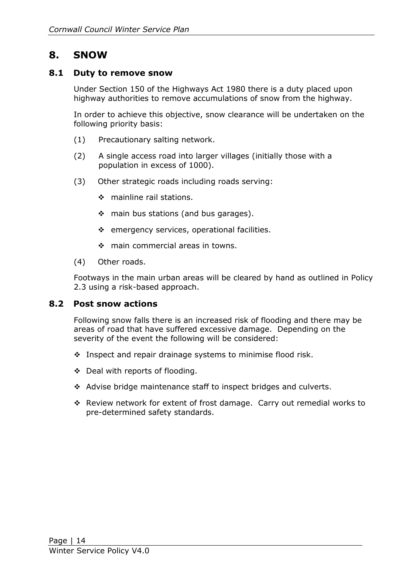## **8. SNOW**

#### **8.1 Duty to remove snow**

 Under Section 150 of the Highways Act 1980 there is a duty placed upon highway authorities to remove accumulations of snow from the highway.

 following priority basis: In order to achieve this objective, snow clearance will be undertaken on the

- (1) Precautionary salting network.
- (2) A single access road into larger villages (initially those with a population in excess of 1000).
- (3) Other strategic roads including roads serving:
	- ❖ mainline rail stations.
	- $\div$  main bus stations (and bus garages).
	- $\div$  emergency services, operational facilities.
	- ❖ main commercial areas in towns.
- (4) Other roads.

 Footways in the main urban areas will be cleared by hand as outlined in Policy 2.3 using a risk-based approach.

#### **8.2 Post snow actions**

 Following snow falls there is an increased risk of flooding and there may be areas of road that have suffered excessive damage. Depending on the severity of the event the following will be considered:

- ◆ Inspect and repair drainage systems to minimise flood risk.
- $\div$  Deal with reports of flooding.
- Advise bridge maintenance staff to inspect bridges and culverts.
- Review network for extent of frost damage. Carry out remedial works to pre-determined safety standards.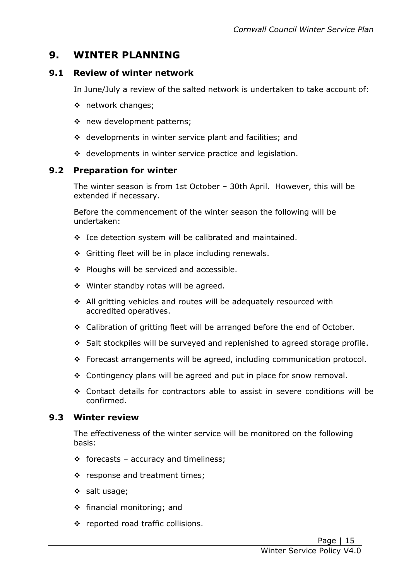# **9. WINTER PLANNING**

#### **9.1 Review of winter network**

In June/July a review of the salted network is undertaken to take account of:

- network changes;
- new development patterns;
- ❖ developments in winter service plant and facilities; and
- ❖ developments in winter service practice and legislation.

#### **9.2 Preparation for winter**

The winter season is from 1st October – 30th April. However, this will be extended if necessary.

 Before the commencement of the winter season the following will be undertaken:

- $\div$  Ice detection system will be calibrated and maintained.
- ❖ Gritting fleet will be in place including renewals.
- ❖ Ploughs will be serviced and accessible.
- ❖ Winter standby rotas will be agreed.
- All gritting vehicles and routes will be adequately resourced with accredited operatives.
- ◆ Calibration of gritting fleet will be arranged before the end of October.
- Salt stockpiles will be surveyed and replenished to agreed storage profile.
- Forecast arrangements will be agreed, including communication protocol.
- Contingency plans will be agreed and put in place for snow removal.
- Contact details for contractors able to assist in severe conditions will be confirmed.

#### **9.3 Winter review**

The effectiveness of the winter service will be monitored on the following basis:

- $\div$  forecasts accuracy and timeliness;
- $\cdot$  response and treatment times;
- $\div$  salt usage;
- financial monitoring; and
- ❖ reported road traffic collisions.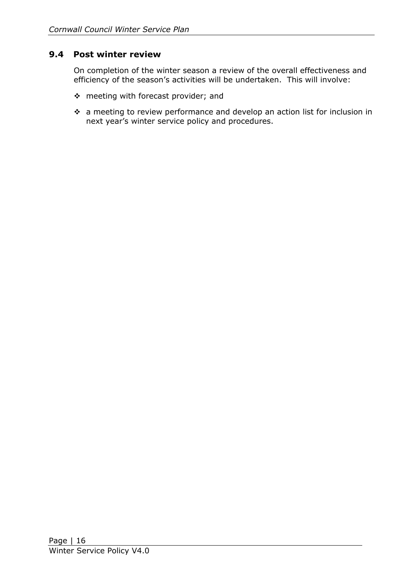#### **9.4 Post winter review**

 efficiency of the season's activities will be undertaken. This will involve: On completion of the winter season a review of the overall effectiveness and

- $\cdot$  meeting with forecast provider; and
- next year's winter service policy and procedures. a meeting to review performance and develop an action list for inclusion in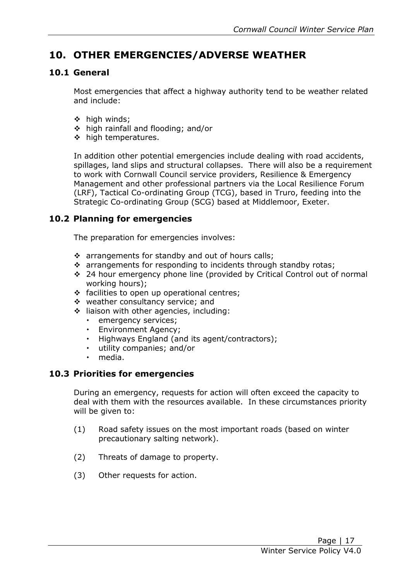# **10. OTHER EMERGENCIES/ADVERSE WEATHER**

#### **10.1 General**

 Most emergencies that affect a highway authority tend to be weather related and include:

- $\div$  high winds:
- ❖ high rainfall and flooding; and/or
- ❖ high temperatures.

 In addition other potential emergencies include dealing with road accidents, spillages, land slips and structural collapses. There will also be a requirement to work with Cornwall Council service providers, Resilience & Emergency Management and other professional partners via the Local Resilience Forum (LRF), Tactical Co-ordinating Group (TCG), based in Truro, feeding into the Strategic Co-ordinating Group (SCG) based at Middlemoor, Exeter.

### **10.2 Planning for emergencies**

The preparation for emergencies involves:

- $\cdot$  arrangements for standby and out of hours calls;
- $\cdot \cdot$  arrangements for responding to incidents through standby rotas;
- 24 hour emergency phone line (provided by Critical Control out of normal working hours);
- ❖ facilities to open up operational centres;
- ❖ weather consultancy service; and
- liaison with other agencies, including:
	- emergency services;
	- Environment Agency;
	- Highways England (and its agent/contractors);
	- utility companies; and/or
	- media.

#### **10.3 Priorities for emergencies**

 During an emergency, requests for action will often exceed the capacity to deal with them with the resources available. In these circumstances priority will be given to:

- (1) Road safety issues on the most important roads (based on winter precautionary salting network).
- (2) Threats of damage to property.
- (3) Other requests for action.